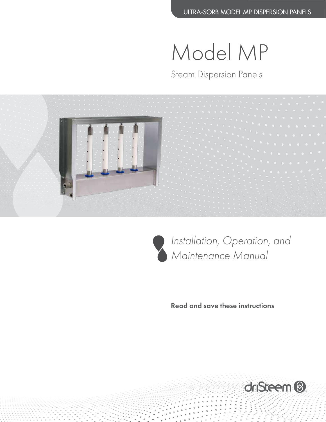Model MP

Steam Dispersion Panels





*Installation, Operation, and Maintenance Manual*

Read and save these instructions

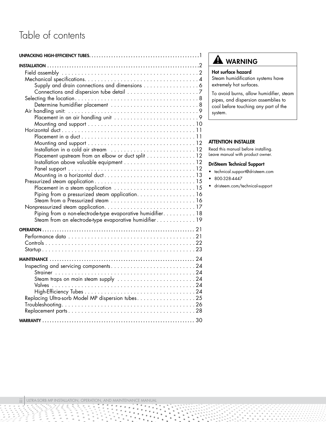# Table of contents

| Supply and drain connections and dimensions 6              |  |
|------------------------------------------------------------|--|
|                                                            |  |
|                                                            |  |
|                                                            |  |
|                                                            |  |
|                                                            |  |
|                                                            |  |
|                                                            |  |
|                                                            |  |
|                                                            |  |
|                                                            |  |
| Placement upstream from an elbow or duct split 12          |  |
|                                                            |  |
|                                                            |  |
|                                                            |  |
|                                                            |  |
|                                                            |  |
| Piping from a pressurized steam application. 16            |  |
|                                                            |  |
|                                                            |  |
| Piping from a non-electrode-type evaporative humidifier 18 |  |
| Steam from an electrode-type evaporative humidifier19      |  |
|                                                            |  |
|                                                            |  |
|                                                            |  |
|                                                            |  |
|                                                            |  |
|                                                            |  |
|                                                            |  |
|                                                            |  |
| Steam traps on main steam supply 24                        |  |
|                                                            |  |
|                                                            |  |
| Replacing Ultra-sorb Model MP dispersion tubes. 25         |  |
|                                                            |  |
|                                                            |  |
|                                                            |  |

## **A** WARNING

## Hot surface hazard

Steam humidification systems have extremely hot surfaces.

To avoid burns, allow humidifier, steam pipes, and dispersion assemblies to cool before touching any part of the system.

### ATTENTION INSTALLER

Read this manual before installing. Leave manual with product owner.

## DriSteem Technical Support

- technical.support@dristeem.com
- 800-328-4447
- dristeem.com/technical-support

Ì.

Ĩ,

ξ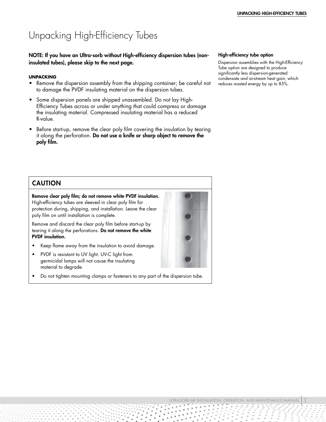# <span id="page-2-0"></span>Unpacking High-Efficiency Tubes

NOTE: If you have an Ultra-sorb without High-efficiency dispersion tubes (noninsulated tubes), please skip to the next page.

### **UNPACKING**

- Remove the dispersion assembly from the shipping container; be careful not to damage the PVDF insulating material on the dispersion tubes.
- Some dispersion panels are shipped unassembled. Do not lay High-Efficiency Tubes across or under anything that could compress or damage the insulating material. Compressed insulating material has a reduced R-value.
- Before start-up, remove the clear poly film covering the insulation by tearing it along the perforation. Do not use a knife or sharp object to remove the poly film.

### High-efficiency tube option

Dispersion assemblies with the High-Efficiency Tube option are designed to produce significantly less dispersion-generated condensate and airstream heat gain, which reduces wasted energy by up to 85%.

## CAUTION Remove clear poly film; do not remove white PVDF insulation. High-efficiency tubes are sleeved in clear poly film for protection during, shipping, and installation. Leave the clear poly film on until installation is complete. Remove and discard the clear poly film before start-up by tearing it along the perforations. Do not remove the white PVDF insulation. • Keep flame away from the insulation to avoid damage. • PVDF is resistant to UV light. UV-C light from germicidal lamps will not cause the insulating material to degrade. • Do not tighten mounting clamps or fasteners to any part of the dispersion tube.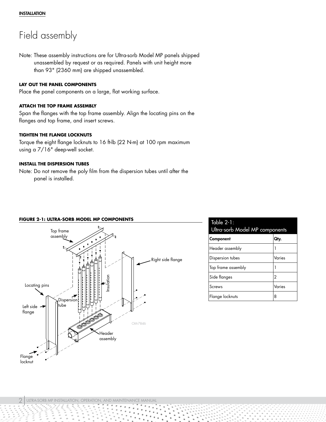## <span id="page-3-0"></span>Field assembly

Note: These assembly instructions are for Ultra-sorb Model MP panels shipped unassembled by request or as required. Panels with unit height more than 93" (2360 mm) are shipped unassembled.

## **LAY OUT THE PANEL COMPONENTS**

Place the panel components on a large, flat working surface.

## **ATTACH THE TOP FRAME ASSEMBLY**

Span the flanges with the top frame assembly. Align the locating pins on the flanges and top frame, and insert screws.

## **TIGHTEN THE FLANGE LOCKNUTS**

Torque the eight flange locknuts to 16 ft-lb (22 N-m) at 100 rpm maximum using a 7/16" deep-well socket.

### **INSTALL THE DISPERSION TUBES**

Note: Do not remove the poly film from the dispersion tubes until after the panel is installed.

#### **FIGURE 2-1: ULTRA-SORB MODEL MP COMPONENTS**



| Table $2-1$ :<br>Ultra-sorb Model MP components |        |  |  |  |
|-------------------------------------------------|--------|--|--|--|
| Component                                       | Qty.   |  |  |  |
| Header assembly                                 |        |  |  |  |
| Dispersion tubes                                | Varies |  |  |  |
| Top frame assembly                              |        |  |  |  |
| Side flanges                                    | 2      |  |  |  |
| Screws                                          | Varies |  |  |  |
| Flange locknuts                                 | 8      |  |  |  |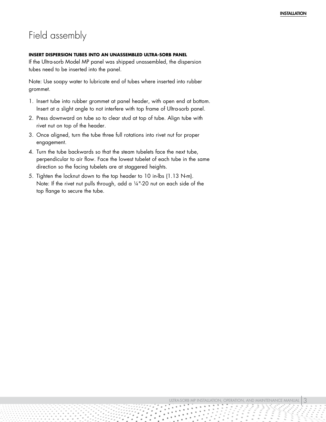## Field assembly

### <span id="page-4-0"></span>**INSERT DISPERSION TUBES INTO AN UNASSEMBLED ULTRA-SORB PANEL**

If the Ultra-sorb Model MP panel was shipped unassembled, the dispersion tubes need to be inserted into the panel.

Note: Use soapy water to lubricate end of tubes where inserted into rubber grommet.

- 1. Insert tube into rubber grommet at panel header, with open end at bottom. Insert at a slight angle to not interfere with top frame of Ultra-sorb panel.
- 2. Press downward on tube so to clear stud at top of tube. Align tube with rivet nut on top of the header.
- 3. Once aligned, turn the tube three full rotations into rivet nut for proper engagement.
- 4. Turn the tube backwards so that the steam tubelets face the next tube, perpendicular to air flow. Face the lowest tubelet of each tube in the same direction so the facing tubelets are at staggered heights.
- 5. Tighten the locknut down to the top header to 10 in-lbs (1.13 N-m). Note: If the rivet nut pulls through, add a 1/4"-20 nut on each side of the top flange to secure the tube.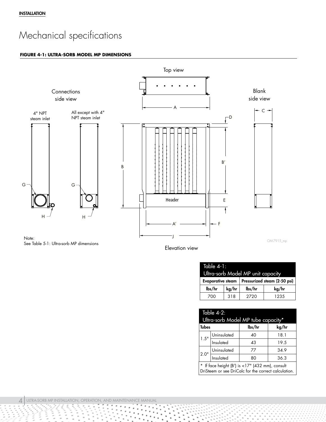# <span id="page-5-0"></span>Mechanical specifications

#### **FIGURE 4-1: ULTRA-SORB MODEL MP DIMENSIONS**



Elevation view

| Table 4-1:                        |       |        |                              |  |  |
|-----------------------------------|-------|--------|------------------------------|--|--|
| Ultra-sorb Model MP unit capacity |       |        |                              |  |  |
| <b>Evaporative steam</b>          |       |        | Pressurized steam (2-50 psi) |  |  |
| lbs/hr                            | kg/hr | lbs/hr | kg/hr                        |  |  |
| 700                               | 318   | 2720   | 1235                         |  |  |

| Table 4-2:<br>Ultra-sorb Model MP tube capacity*                                                        |                          |    |      |  |  |
|---------------------------------------------------------------------------------------------------------|--------------------------|----|------|--|--|
| <b>Tubes</b><br>lbs/hr<br>kg/hr                                                                         |                          |    |      |  |  |
|                                                                                                         | Uninsulated              | 40 | 18.1 |  |  |
| 1.5"                                                                                                    | Insulated                | 43 | 19.5 |  |  |
|                                                                                                         |                          | 77 | 34.9 |  |  |
| 2.0"                                                                                                    | Uninsulated<br>Insulated | 80 | 36.3 |  |  |
| * If face height (B') is <17" (432 mm), consult<br>DriSteem or see DriCalc for the correct calculation. |                          |    |      |  |  |

à.

Ì,  $\frac{1}{2}$  $\frac{1}{2}$ 

ξ ξ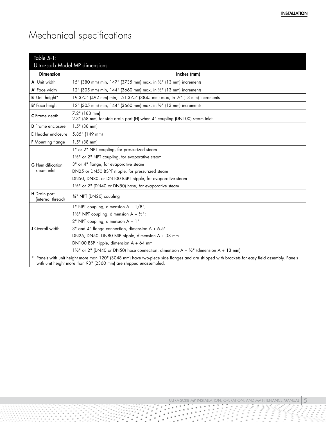# Mechanical specifications

<span id="page-6-0"></span>

| Table 5-1:                               | Ultra-sorb Model MP dimensions                                                                                                                                                                                    |  |  |  |  |  |
|------------------------------------------|-------------------------------------------------------------------------------------------------------------------------------------------------------------------------------------------------------------------|--|--|--|--|--|
| <b>Dimension</b>                         | Inches (mm)                                                                                                                                                                                                       |  |  |  |  |  |
| A Unit width                             | 15" (380 mm) min, 147" (3735 mm) max, in 1/2" (13 mm) increments                                                                                                                                                  |  |  |  |  |  |
| A' Face width                            | 12" (305 mm) min, 144" (3660 mm) max, in 1/2" (13 mm) increments                                                                                                                                                  |  |  |  |  |  |
| <b>B</b> Unit height*                    | 19.375" (492 mm) min, 151.375" (3845 mm) max, in 1/2" (13 mm) increments                                                                                                                                          |  |  |  |  |  |
| <b>B'</b> Face height                    | 12" (305 mm) min, 144" (3660 mm) max, in 1/2" (13 mm) increments                                                                                                                                                  |  |  |  |  |  |
| <b>C</b> Frame depth                     | 7.2" (183 mm)<br>2.3" (58 mm) for side drain port (H) when 4" coupling (DN100) steam inlet                                                                                                                        |  |  |  |  |  |
| <b>D</b> Frame enclosure                 | $1.5"$ (38 mm)                                                                                                                                                                                                    |  |  |  |  |  |
| <b>E</b> Header enclosure                | 5.85" (149 mm)                                                                                                                                                                                                    |  |  |  |  |  |
| <b>F</b> Mounting flange                 | $1.5"$ (38 mm)                                                                                                                                                                                                    |  |  |  |  |  |
|                                          | 1" or 2" NPT coupling, for pressurized steam                                                                                                                                                                      |  |  |  |  |  |
|                                          | 11/2" or 2" NPT coupling, for evaporative steam                                                                                                                                                                   |  |  |  |  |  |
| <b>G</b> Humidification                  | 3" or 4" flange, for evaporative steam                                                                                                                                                                            |  |  |  |  |  |
| steam inlet                              | DN25 or DN50 BSPT nipple, for pressurized steam                                                                                                                                                                   |  |  |  |  |  |
|                                          | DN50, DN80, or DN100 BSPT nipple, for evaporative steam                                                                                                                                                           |  |  |  |  |  |
|                                          | 11/2" or 2" (DN40 or DN50) hose, for evaporative steam                                                                                                                                                            |  |  |  |  |  |
| <b>H</b> Drain port<br>(internal thread) | 3/4" NPT (DN20) coupling                                                                                                                                                                                          |  |  |  |  |  |
|                                          | 1" NPT coupling, dimension A + 1/8";                                                                                                                                                                              |  |  |  |  |  |
|                                          | $1\frac{1}{2}$ NPT coupling, dimension A + $\frac{1}{2}$ ";                                                                                                                                                       |  |  |  |  |  |
|                                          | 2" NPT coupling, dimension A + 1"                                                                                                                                                                                 |  |  |  |  |  |
| J Overall width                          | 3" and 4" flange connection, dimension A + 6.5"                                                                                                                                                                   |  |  |  |  |  |
|                                          | DN25, DN50, DN80 BSP nipple, dimension A + 38 mm                                                                                                                                                                  |  |  |  |  |  |
|                                          | DN100 BSP nipple, dimension A + 64 mm                                                                                                                                                                             |  |  |  |  |  |
|                                          | $1\frac{1}{2}$ or 2" (DN40 or DN50) hose connection, dimension A + $\frac{1}{2}$ " (dimension A + 13 mm)                                                                                                          |  |  |  |  |  |
|                                          | * Panels with unit height more than 120" (3048 mm) have two-piece side flanges and are shipped with brackets for easy field assembly. Panels<br>with unit height more than 93" (2360 mm) are shipped unassembled. |  |  |  |  |  |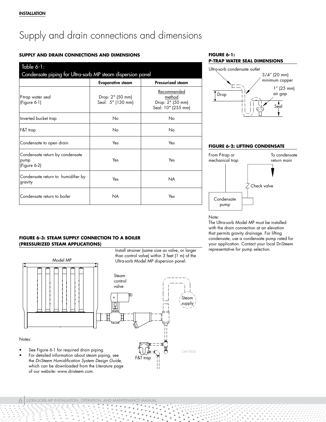# <span id="page-7-4"></span><span id="page-7-0"></span>Supply and drain connections and dimensions

## **SUPPLY AND DRAIN CONNECTIONS AND DIMENSIONS**

<span id="page-7-2"></span>

| Table $6-1$ :<br>Condensate piping for Ultra-sorb MP steam dispersion panel |                                       |                                                                 |  |  |  |
|-----------------------------------------------------------------------------|---------------------------------------|-----------------------------------------------------------------|--|--|--|
|                                                                             | <b>Evaporative steam</b>              | <b>Pressurized steam</b>                                        |  |  |  |
| P-trap water seal<br>(Figure 6-1)                                           | Drop: 2" (50 mm)<br>Seal: 5" (130 mm) | Recommended<br>method<br>Drop: 2" (50 mm)<br>Seal: 10" (255 mm) |  |  |  |
| Inverted bucket trap                                                        | No                                    | No                                                              |  |  |  |
| F&T trap                                                                    | No                                    | No                                                              |  |  |  |
| Condensate to open drain                                                    | Yes                                   | Yes                                                             |  |  |  |
| Condensate return by condensate<br>pump<br>$(Figure 6-2)$                   | Yes                                   | Yes                                                             |  |  |  |
| Condensate return to humidifier by<br>gravity                               | Yes                                   | <b>NA</b>                                                       |  |  |  |
| Condensate return to boiler                                                 | <b>NA</b>                             | Yes                                                             |  |  |  |

<span id="page-7-1"></span>



#### **FIGURE 6-2: LIFTING CONDENSATE**



Note:

The Ultra-sorb Model MP must be installed with the drain connection at an elevation that permits gravity drainage. For lifting condensate, use a condensate pump rated for your application. Contact your local DriSteem representative for pump selection.

### <span id="page-7-3"></span>**FIGURE 6-3: STEAM SUPPLY CONNECTION TO A BOILER (PRESSURIZED STEAM APPLICATIONS)**

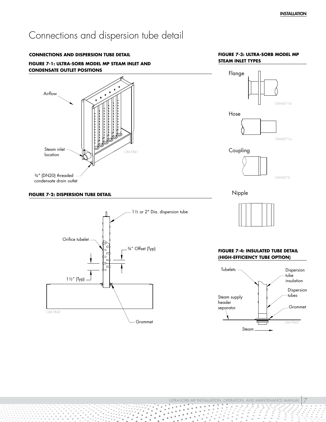## <span id="page-8-0"></span>Connections and dispersion tube detail





condensate drain outlet

## **FIGURE 7-2: DISPERSION TUBE DETAIL Nipple Nipple**



### **FIGURE 7-3: ULTRA-SORB MODEL MP STEAM INLET TYPES**





### **FIGURE 7-4: INSULATED TUBE DETAIL (HIGH-EFFICIENCY TUBE OPTION)**

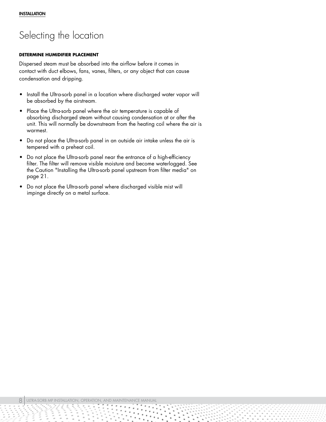## <span id="page-9-0"></span>Selecting the location

### **DETERMINE HUMIDIFIER PLACEMENT**

Dispersed steam must be absorbed into the airflow before it comes in contact with duct elbows, fans, vanes, filters, or any object that can cause condensation and dripping.

- Install the Ultra-sorb panel in a location where discharged water vapor will be absorbed by the airstream.
- Place the Ultra-sorb panel where the air temperature is capable of absorbing discharged steam without causing condensation at or after the unit. This will normally be downstream from the heating coil where the air is warmest.
- Do not place the Ultra-sorb panel in an outside air intake unless the air is tempered with a preheat coil.
- Do not place the Ultra-sorb panel near the entrance of a high-efficiency filter. The filter will remove visible moisture and become waterlogged. See the Caution ["Installing the Ultra-sorb panel upstream from filter media" on](#page-22-1)  [page 21](#page-22-1).
- Do not place the Ultra-sorb panel where discharged visible mist will impinge directly on a metal surface.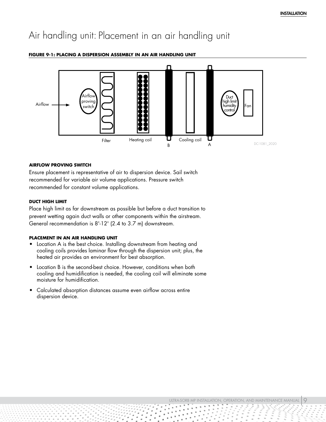## <span id="page-10-0"></span>Air handling unit: Placement in an air handling unit



## <span id="page-10-1"></span>**FIGURE 9-1: PLACING A DISPERSION ASSEMBLY IN AN AIR HANDLING UNIT**

#### **AIRFLOW PROVING SWITCH**

Ensure placement is representative of air to dispersion device. Sail switch recommended for variable air volume applications. Pressure switch recommended for constant volume applications.

#### **DUCT HIGH LIMIT**

Place high limit as far downstream as possible but before a duct transition to prevent wetting again duct walls or other components within the airstream. General recommendation is 8'-12' (2.4 to 3.7 m) downstream.

### **PLACEMENT IN AN AIR HANDLING UNIT**

- Location A is the best choice. Installing downstream from heating and cooling coils provides laminar flow through the dispersion unit; plus, the heated air provides an environment for best absorption.
- Location B is the second-best choice. However, conditions when both cooling and humidification is needed, the cooling coil will eliminate some moisture for humidification.
- Calculated absorption distances assume even airflow across entire dispersion device.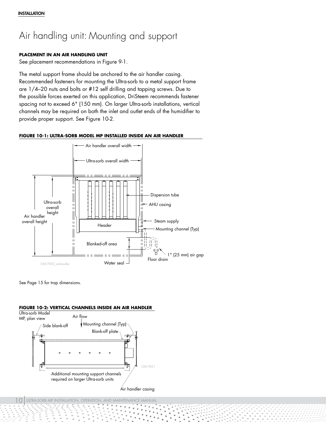# <span id="page-11-0"></span>Air handling unit: Mounting and support

## **PLACEMENT IN AN AIR HANDLING UNIT**

See placement recommendations in Figure [9-](#page-10-1)1.

The metal support frame should be anchored to the air handler casing. Recommended fasteners for mounting the Ultra-sorb to a metal support frame are 1/4–20 nuts and bolts or #12 self drilling and tapping screws. Due to the possible forces exerted on this application, DriSteem recommends fastener spacing not to exceed 6" (150 mm). On larger Ultra-sorb installations, vertical channels may be required on both the inlet and outlet ends of the humidifier to provide proper support. See Figure [10-](#page-11-1)2.





See Page 15 for trap dimensions.

<span id="page-11-1"></span>

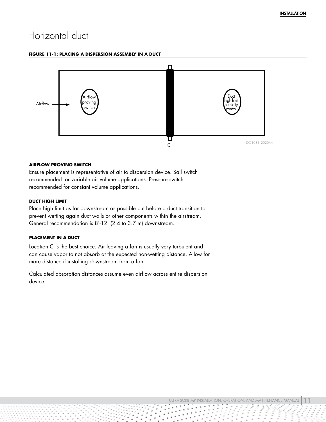## <span id="page-12-0"></span>Horizontal duct

#### **FIGURE 11-1: PLACING A DISPERSION ASSEMBLY IN A DUCT**



### **AIRFLOW PROVING SWITCH**

Ensure placement is representative of air to dispersion device. Sail switch recommended for variable air volume applications. Pressure switch recommended for constant volume applications.

#### **DUCT HIGH LIMIT**

Place high limit as far downstream as possible but before a duct transition to prevent wetting again duct walls or other components within the airstream. General recommendation is 8'-12' (2.4 to 3.7 m) downstream.

### **PLACEMENT IN A DUCT**

Location C is the best choice. Air leaving a fan is usually very turbulent and can cause vapor to not absorb at the expected non-wetting distance. Allow for more distance if installing downstream from a fan.

Calculated absorption distances assume even airflow across entire dispersion device.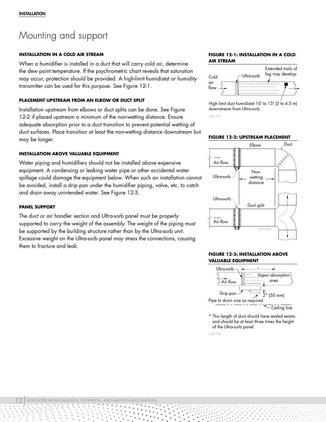## <span id="page-13-0"></span>Mounting and support

#### **INSTALLATION IN A COLD AIR STREAM**

When a humidifier is installed in a duct that will carry cold air, determine the dew point temperature. If the psychrometric chart reveals that saturation may occur, protection should be provided. A high-limit humidistat or humidity transmitter can be used for this purpose. See Figure [12](#page-13-1)-1.

## **PLACEMENT UPSTREAM FROM AN ELBOW OR DUCT SPLIT**

Installation upstream from elbows or duct splits can be done. See Figure [12](#page-13-2)-2 if placed upstream a minimum of the non-wetting distance. Ensure adequate absorption prior to a duct transition to prevent potential wetting of duct surfaces. Place transition at least the non-wetting distance downstream but may be longer.

### **INSTALLATION ABOVE VALUABLE EQUIPMENT**

Water piping and humidifiers should not be installed above expensive equipment. A condensing or leaking water pipe or other accidental water spillage could damage the equipment below. When such an installation cannot be avoided, install a drip pan under the humidifier piping, valve, etc. to catch and drain away unintended water. See Figure [12](#page-13-3)-3.

#### **PANEL SUPPORT**

The duct or air handler section and Ultra-sorb panel must be properly supported to carry the weight of the assembly. The weight of the piping must be supported by the building structure rather than by the Ultra-sorb unit. Excessive weight on the Ultra-sorb panel may stress the connections, causing them to fracture and leak.

#### <span id="page-13-1"></span>**FIGURE 12-1: INSTALLATION IN A COLD AIR STREAM**



High limit duct humidistat 10' to 15' (3 to 4.5 m) downstream from Ultra-sorb

OM-197

<span id="page-13-2"></span>**FIGURE 12-2: UPSTREAM PLACEMENT**



### <span id="page-13-3"></span>**FIGURE 12-3: INSTALLATION ABOVE VALUABLE EQUIPMENT**



\* This length of duct should have sealed seams and should be at least three times the height of the Ultra-sorb panel.

OM-198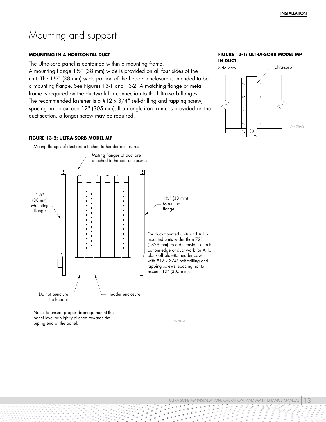## <span id="page-14-0"></span>Mounting and support

#### **MOUNTING IN A HORIZONTAL DUCT**

The Ultra-sorb panel is contained within a mounting frame.

A mounting flange 1½" (38 mm) wide is provided on all four sides of the unit. The 1½" (38 mm) wide portion of the header enclosure is intended to be a mounting flange. See Figures 13-1 and 13-2. A matching flange or metal frame is required on the ductwork for connection to the Ultra-sorb flanges. The recommended fastener is a  $#12 \times 3/4$ " self-drilling and tapping screw, spacing not to exceed 12" (305 mm). If an angle-iron frame is provided on the duct section, a longer screw may be required.

#### **FIGURE 13-1: ULTRA-SORB MODEL MP IN DUCT**



#### **FIGURE 13-2: ULTRA-SORB MODEL MP**



Note: To ensure proper drainage mount the panel level or slightly pitched towards the piping end of the panel.

OM-7864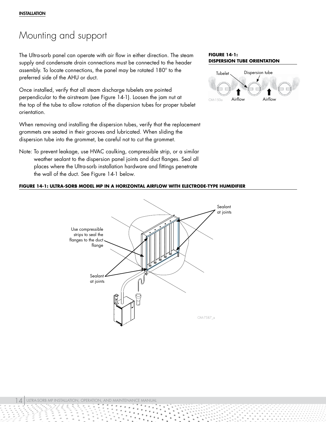## Mounting and support

The Ultra-sorb panel can operate with air flow in either direction. The steam supply and condensate drain connections must be connected to the header assembly. To locate connections, the panel may be rotated 180º to the preferred side of the AHU or duct.

Once installed, verify that all steam discharge tubelets are pointed perpendicular to the airstream (see Figure [14](#page-15-0)-1). Loosen the jam nut at the top of the tube to allow rotation of the dispersion tubes for proper tubelet orientation.

When removing and installing the dispersion tubes, verify that the replacement grommets are seated in their grooves and lubricated. When sliding the dispersion tube into the grommet, be careful not to cut the grommet.

Note: To prevent leakage, use HVAC caulking, compressible strip, or a similar weather sealant to the dispersion panel joints and duct flanges. Seal all places where the Ultra-sorb installation hardware and fittings penetrate the wall of the duct. See Figure [14-](#page-15-1)1 below.

## <span id="page-15-1"></span>**FIGURE 14-1: ULTRA-SORB MODEL MP IN A HORIZONTAL AIRFLOW WITH ELECTRODE-TYPE HUMIDIFIER**



#### <span id="page-15-0"></span>**FIGURE 14-1: DISPERSION TUBE ORIENTATION**

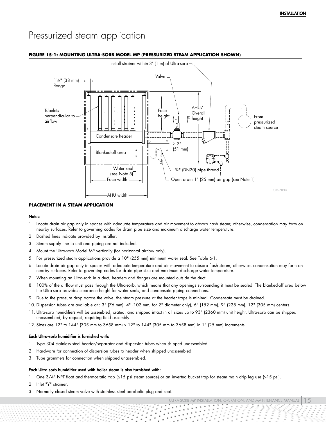## <span id="page-16-0"></span>Pressurized steam application



#### <span id="page-16-1"></span>**FIGURE 15-1: MOUNTING ULTRA-SORB MODEL MP (PRESSURIZED STEAM APPLICATION SHOWN)**

#### **PLACEMENT IN A STEAM APPLICATION**

#### Notes:

- 1. Locate drain air gap only in spaces with adequate temperature and air movement to absorb flash steam; otherwise, condensation may form on nearby surfaces. Refer to governing codes for drain pipe size and maximum discharge water temperature.
- 2. Dashed lines indicate provided by installer.
- 3. Steam supply line to unit and piping are not included.
- 4. Mount the Ultra-sorb Model MP vertically (for horizontal airflow only).
- 5. For pressurized steam applications provide a 10" (255 mm) minimum water seal. See Table [6-](#page-7-2)1.
- 6. Locate drain air gap only in spaces with adequate temperature and air movement to absorb flash steam; otherwise, condensation may form on nearby surfaces. Refer to governing codes for drain pipe size and maximum discharge water temperature.
- 7. When mounting an Ultra-sorb in a duct, headers and flanges are mounted outside the duct.
- 8. 100% of the airflow must pass through the Ultra-sorb, which means that any openings surrounding it must be sealed. The blanked-off area below the Ultra-sorb provides clearance height for water seals, and condensate piping connections.
- 9. Due to the pressure drop across the valve, the steam pressure at the header traps is minimal. Condensate must be drained.
- 10. Dispersion tubes are available at : 3" (76 mm), 4" (102 mm; for 2" diameter only), 6" (152 mm), 9" (228 mm), 12" (305 mm) centers.
- 11. Ultra-sorb humidifiers will be assembled, crated, and shipped intact in all sizes up to 93" (2360 mm) unit height. Ultra-sorb can be shipped unassembled, by request, requiring field assembly.
- 12. Sizes are 12" to 144" (305 mm to 3658 mm) x 12" to 144" (305 mm to 3658 mm) in 1" (25 mm) increments.

#### Each Ultra-sorb humidifier is furnished with:

- 1. Type 304 stainless steel header/separator and dispersion tubes when shipped unassembled.
- 2. Hardware for connection of dispersion tubes to header when shipped unassembled.
- 3. Tube grommets for connection when shipped unassembled.

#### Each Ultra-sorb humidifier used with boiler steam is also furnished with:

- 1. One 3/4" NPT float and thermostatic trap (≤15 psi steam source) or an inverted bucket trap for steam main drip leg use (>15 psi).
- 2. Inlet "Y" strainer.
- 3. Normally closed steam valve with stainless steel parabolic plug and seat.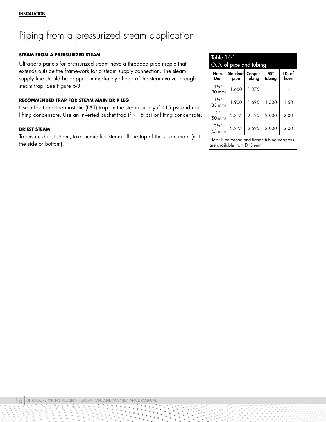# <span id="page-17-0"></span>Piping from a pressurized steam application

## **STEAM FROM A PRESSURIZED STEAM**

Ultra-sorb panels for pressurized steam have a threaded pipe nipple that extends outside the framework for a steam supply connection. The steam supply line should be dripped immediately ahead of the steam valve through a steam trap. See Figure [6-](#page-7-3)3.

## **RECOMMENDED TRAP FOR STEAM MAIN DRIP LEG**

Use a float and thermostatic (F&T) trap on the steam supply if ≤15 psi and not lifting condensate. Use an inverted bucket trap if > 15 psi or lifting condensate.

## **DRIEST STEAM**

To ensure driest steam, take humidifier steam off the top of the steam main (not the side or bottom).

<span id="page-17-1"></span>

| Table 16-1:<br>O.D. of pipe and tubing                                       |                  |                  |                      |                 |  |
|------------------------------------------------------------------------------|------------------|------------------|----------------------|-----------------|--|
| Nom.<br>Dia.                                                                 | Standard<br>pipe | Copper<br>tubing | <b>SST</b><br>tubing | I.D. of<br>hose |  |
| $1\frac{1}{4}$<br>$(30 \text{ mm})$                                          | 1.660            | 1.375            |                      |                 |  |
| $1\frac{1}{2}$<br>$(38$ mm $)$                                               | 1.900            | 1.625            | 1.500                | 1.50            |  |
| 2"<br>$(50 \text{ mm})$                                                      | 2 3 7 5          | 2.125            | 2.000                | 2.00            |  |
| $2\frac{1}{2}$ "<br>$(65$ mm $)$                                             | 2.875            | 2.625            | 3.000                | 3.00            |  |
| Note: Pipe thread and flange tubing adapters<br>are available from DriSteem. |                  |                  |                      |                 |  |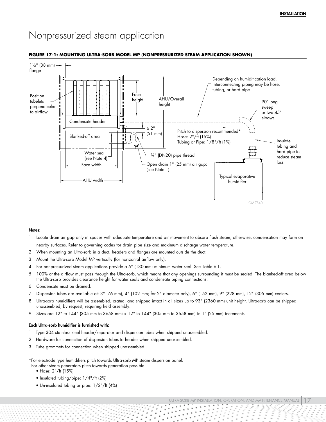## <span id="page-18-0"></span>Nonpressurized steam application

#### <span id="page-18-1"></span>**FIGURE 17-1: MOUNTING ULTRA-SORB MODEL MP (NONPRESSURIZED STEAM APPLICATION SHOWN)**



#### Notes:

- 1. Locate drain air gap only in spaces with adequate temperature and air movement to absorb flash steam; otherwise, condensation may form on nearby surfaces. Refer to governing codes for drain pipe size and maximum discharge water temperature.
- 2. When mounting an Ultra-sorb in a duct, headers and flanges are mounted outside the duct.
- 3. Mount the Ultra-sorb Model MP vertically (for horizontal airflow only).
- 4. For nonpressurized steam applications provide a 5" (130 mm) minimum water seal. See Table [6-](#page-7-2)1.
- 5. 100% of the airflow must pass through the Ultra-sorb, which means that any openings surrounding it must be sealed. The blanked-off area below the Ultra-sorb provides clearance height for water seals and condensate piping connections.
- 6. Condensate must be drained.
- 7. Dispersion tubes are available at: 3" (76 mm), 4" (102 mm; for 2" diameter only), 6" (152 mm), 9" (228 mm), 12" (305 mm) centers.
- 8. Ultra-sorb humidifiers will be assembled, crated, and shipped intact in all sizes up to 93" (2360 mm) unit height. Ultra-sorb can be shipped unassembled, by request, requiring field assembly.
- 9. Sizes are 12" to 144" (305 mm to 3658 mm) x 12" to 144" (305 mm to 3658 mm) in 1" (25 mm) increments.

#### Each Ultra-sorb humidifier is furnished with:

- 1. Type 304 stainless steel header/separator and dispersion tubes when shipped unassembled.
- 2. Hardware for connection of dispersion tubes to header when shipped unassembled.
- 3. Tube grommets for connection when shipped unassembled.

\*For electrode type humidifiers pitch towards Ultra-sorb MP steam dispersion panel.

For other steam generators pitch towards generation possible

- Hose: 2"/ft (15%)
- Insulated tubing/pipe: 1/4"/ft (2%)
- Un-insulated tubing or pipe: 1/2"/ft (4%)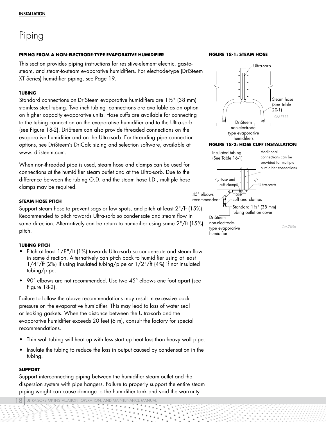# <span id="page-19-0"></span>Piping

## **PIPING FROM A NON-ELECTRODE-TYPE EVAPORATIVE HUMIDIFIER**

This section provides piping instructions for resistive-element electric, gas-tosteam, and steam-to-steam evaporative humidifiers. For electrode-type (DriSteem XT Series) humidifier piping, see Page [19.](#page-20-1)

## **TUBING**

Standard connections on DriSteem evaporative humidifiers are 1½" (38 mm) stainless steel tubing. Two inch tubing connections are available as an option on higher capacity evaporative units. Hose cuffs are available for connecting to the tubing connection on the evaporative humidifier and to the Ultra-sorb (see Figure [18-](#page-19-1)2). DriSteem can also provide threaded connections on the evaporative humidifier and on the Ultra-sorb. For threading pipe connection options, see DriSteem's DriCalc sizing and selection software, available at www. dristeem.com.

When non-threaded pipe is used, steam hose and clamps can be used for connections at the humidifier steam outlet and at the Ultra-sorb. Due to the difference between the tubing O.D. and the steam hose I.D., multiple hose clamps may be required.

## **STEAM HOSE PITCH**

Support steam hose to prevent sags or low spots, and pitch at least 2"/ft (15%). Recommended to pitch towards Ultra-sorb so condensate and steam flow in same direction. Alternatively can be return to humidifier using same 2"/ft (15%) pitch.

## **TUBING PITCH**

- Pitch at least  $1/8$ "/ft (1%) towards Ultra-sorb so condensate and steam flow in same direction. Alternatively can pitch back to humidifier using at least 1/4"/ft (2%) if using insulated tubing/pipe or 1/2"/ft (4%) if not insulated tubing/pipe.
- 90° elbows are not recommended. Use two 45° elbows one foot apart (see Figure [18-](#page-19-1)2).

Failure to follow the above recommendations may result in excessive back pressure on the evaporative humidifier. This may lead to loss of water seal or leaking gaskets. When the distance between the Ultra-sorb and the evaporative humidifier exceeds 20 feet (6 m), consult the factory for special recommendations.

- Thin wall tubing will heat up with less start up heat loss than heavy wall pipe.
- Insulate the tubing to reduce the loss in output caused by condensation in the tubing.

## **SUPPORT**

Support interconnecting piping between the humidifier steam outlet and the dispersion system with pipe hangers. Failure to properly support the entire steam piping weight can cause damage to the humidifier tank and void the warranty.

8 ULTRA-SORB MP INSTALLATION, OPERATION, AND MAINTENANCE MANUAL

#### **FIGURE 18-1: STEAM HOSE**

<span id="page-19-1"></span>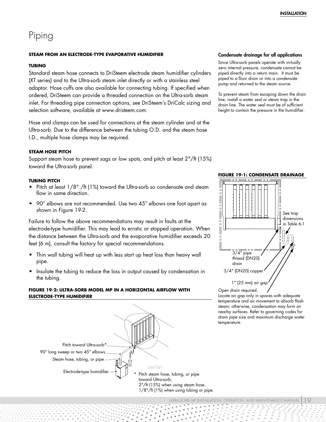## <span id="page-20-0"></span>Piping

### **STEAM FROM AN ELECTRODE-TYPE EVAPORATIVE HUMIDIFIER**

#### **TUBING**

Standard steam hose connects to DriSteem electrode steam humidifier cylinders (XT series) and to the Ultra-sorb steam inlet directly or with a stainless steel adaptor. Hose cuffs are also available for connecting tubing. If specified when ordered, DriSteem can provide a threaded connection on the Ultra-sorb steam inlet. For threading pipe connection options, see DriSteem's DriCalc sizing and selection software, available at www.dristeem.com.

Hose and clamps can be used for connections at the steam cylinder and at the Ultra-sorb. Due to the difference between the tubing O.D. and the steam hose I.D., multiple hose clamps may be required.

#### **STEAM HOSE PITCH**

Support steam hose to prevent sags or low spots, and pitch at least 2"/ft (15%) toward the Ultra-sorb panel.

#### **TUBING PITCH**

- Pitch at least 1/8" /ft (1%) toward the Ultra-sorb so condensate and steam flow in same direction.
- 90 $^{\circ}$  elbows are not recommended. Use two 45 $^{\circ}$  elbows one foot apart as shown in Figure [19](#page-20-1)-2.

Failure to follow the above recommendations may result in faults at the electrode-type humidifier. This may lead to erratic or stopped operation. When the distance between the Ultra-sorb and the evaporative humidifier exceeds 20 feet (6 m), consult the factory for special recommendations.

- Thin wall tubing will heat up with less start up heat loss than heavy wall pipe.
- Insulate the tubing to reduce the loss in output caused by condensation in the tubing.

## <span id="page-20-1"></span>**FIGURE 19-2: ULTRA-SORB MODEL MP IN A HORIZONTAL AIRFLOW WITH ELECTRODE-TYPE HUMIDIFIER**



#### Condensate drainage for all applications

Since Ultra-sorb panels operate with virtually zero internal pressure, condensate cannot be piped directly into a return main. It must be piped to a floor drain or into a condensate pump and returned to the steam source.

To prevent steam from escaping down the drain line, install a water seal or steam trap in the drain line. The water seal must be of sufficient height to contain the pressure in the humidifier.



**FIGURE 19-1: CONDENSATE DRAINAGE**

Open drain required.

Locate air gap only in spaces with adequate temperature and air movement to absorb flash steam; otherwise, condensation may form on nearby surfaces. Refer to governing codes for drain pipe size and maximum discharge water temperature.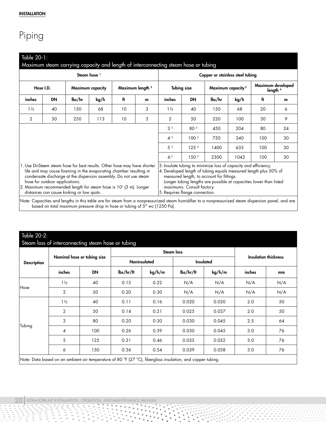# Piping

<span id="page-21-0"></span>

| Steam hose <sup>1</sup>                                                                                                                                                                                                                                                                                                                                                 |                                                                     |        |      |    |                    |                                                                                                                                                                              | Copper or stainless steel tubing |        |                                                                                                                                        |     |    |
|-------------------------------------------------------------------------------------------------------------------------------------------------------------------------------------------------------------------------------------------------------------------------------------------------------------------------------------------------------------------------|---------------------------------------------------------------------|--------|------|----|--------------------|------------------------------------------------------------------------------------------------------------------------------------------------------------------------------|----------------------------------|--------|----------------------------------------------------------------------------------------------------------------------------------------|-----|----|
|                                                                                                                                                                                                                                                                                                                                                                         | Maximum length <sup>2</sup><br>Hose I.D.<br><b>Maximum capacity</b> |        |      |    | <b>Tubing size</b> |                                                                                                                                                                              | Maximum capacity <sup>3</sup>    |        | Maximum developed<br>length <sup>4</sup>                                                                                               |     |    |
| inches                                                                                                                                                                                                                                                                                                                                                                  | <b>DN</b>                                                           | lbs/hr | kg/h | ft | m                  | inches                                                                                                                                                                       | <b>DN</b>                        | lbs/hr | kg/h                                                                                                                                   | ft  | m  |
| $1\frac{1}{2}$                                                                                                                                                                                                                                                                                                                                                          | 40                                                                  | 150    | 68   | 10 | 3                  | $1\frac{1}{2}$                                                                                                                                                               | 40                               | 150    | 68                                                                                                                                     | 20  | 6  |
| 2                                                                                                                                                                                                                                                                                                                                                                       | 50                                                                  | 250    | 113  | 10 | 3                  | 2                                                                                                                                                                            | 50                               | 220    | 100                                                                                                                                    | 30  | 9  |
|                                                                                                                                                                                                                                                                                                                                                                         |                                                                     |        |      |    |                    | 3 <sup>5</sup>                                                                                                                                                               | 80 5                             | 450    | 204                                                                                                                                    | 80  | 24 |
|                                                                                                                                                                                                                                                                                                                                                                         |                                                                     |        |      |    |                    | $4^{5}$                                                                                                                                                                      | 100 <sup>5</sup>                 | 750    | 340                                                                                                                                    | 100 | 30 |
|                                                                                                                                                                                                                                                                                                                                                                         |                                                                     |        |      |    | 5 <sup>5</sup>     | 125 <sup>5</sup>                                                                                                                                                             | 1400                             | 635    | 100                                                                                                                                    | 30  |    |
|                                                                                                                                                                                                                                                                                                                                                                         |                                                                     |        |      |    |                    | 6 <sup>5</sup>                                                                                                                                                               | 150 <sup>5</sup>                 | 2300   | 1043                                                                                                                                   | 100 | 30 |
| 1. Use DriSteem steam hose for best results. Other hose may have shorter<br>life and may cause foaming in the evaporating chamber resulting in<br>condensate discharge at the dispersion assembly. Do not use steam<br>hose for outdoor applications.<br>2. Maximum recommended length for steam hose is 10' (3 m). Longer<br>distances can cause kinking or low spots. |                                                                     |        |      |    |                    | 3. Insulate tubing to minimize loss of capacity and efficiency.<br>measured length, to account for fittings.<br>maximums. Consult factory.<br>5. Requires flange connection. |                                  |        | 4. Developed length of tubing equals measured length plus 50% of<br>Longer tubing lengths are possible at capacities lower than listed |     |    |

Note: Capacities and lengths in this table are for steam from a nonpressurized steam humidifier to a nonpressurized steam dispersion panel, and are based on total maximum pressure drop in hose or tubing of 5" wc (1250 Pa).

|                    |                             |           |                     |        | <b>Steam loss</b>                      |        |                             |     |
|--------------------|-----------------------------|-----------|---------------------|--------|----------------------------------------|--------|-----------------------------|-----|
| <b>Description</b> | Nominal hose or tubing size |           | <b>Noninsulated</b> |        | Insulated                              |        | <b>Insulation thickness</b> |     |
|                    | inches                      | <b>DN</b> | $\frac{1}{5}$       | kg/h/m | $\frac{1}{\text{b}}\frac{s}{\text{h}}$ | kg/h/m | inches                      | mm  |
| Hose               | $1\frac{1}{2}$              | 40        | 0.15                | 0.22   | N/A                                    | N/A    | N/A                         | N/A |
|                    | 2                           | 50        | 0.20                | 0.30   | N/A                                    | N/A    | N/A                         | N/A |
| Tubing             | $1\frac{1}{2}$              | 40        | 0.11                | 0.16   | 0.020                                  | 0.030  | 2.0                         | 50  |
|                    | $\overline{2}$              | 50        | 0.14                | 0.21   | 0.025                                  | 0.037  | 2.0                         | 50  |
|                    | 3                           | 80        | 0.20                | 0.30   | 0.030                                  | 0.045  | 2.5                         | 64  |
|                    | 4                           | 100       | 0.26                | 0.39   | 0.030                                  | 0.045  | 3.0                         | 76  |
|                    | 5                           | 125       | 0.31                | 0.46   | 0.035                                  | 0.052  | 3.0                         | 76  |
|                    | 6                           | 150       | 0.36                | 0.54   | 0.039                                  | 0.058  | 3.0                         | 76  |

٠

 $\ddot{\phantom{1}}$ 

٠

ij

ī,

 $\hat{\phantom{a}}$ 

 $\alpha$ 

ing and the control of the control of the control of the control of the control of the control of the control of the control of the control of the control of the control of the control of the control of the control of the Ţ

 $\frac{1}{2}$ 

 $1110$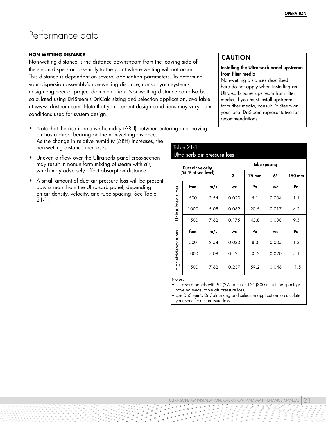## <span id="page-22-0"></span>Performance data

#### **NON-WETTING DISTANCE**

Non-wetting distance is the distance downstream from the leaving side of the steam dispersion assembly to the point where wetting will not occur. This distance is dependent on several application parameters. To determine your dispersion assembly's non-wetting distance, consult your system's design engineer or project documentation. Non-wetting distance can also be calculated using DriSteem's DriCalc sizing and selection application, available at www. dristeem.com. Note that your current design conditions may vary from conditions used for system design.

- Note that the rise in relative humidity (∆RH) between entering and leaving air has a direct bearing on the non-wetting distance. As the change in relative humidity (∆RH) increases, the non-wetting distance increases.
- Uneven airflow over the Ultra-sorb panel cross-section may result in nonuniform mixing of steam with air, which may adversely affect absorption distance.
- A small amount of duct air pressure loss will be present downstream from the Ultra-sorb panel, depending on air density, velocity, and tube spacing. See Table [21-](#page-22-2)1.

## CAUTION

## <span id="page-22-1"></span>Installing the Ultra-sorb panel upstream from filter media

Non-wetting distances described here do not apply when installing an Ultra-sorb panel upstream from filter media. If you must install upstream from filter media, consult DriSteem or your local DriSteem representative for recommendations.

<span id="page-22-2"></span>

|                       | Table 21-1:<br>Ultra-sorb air pressure loss |      |           |                     |           |        |  |  |
|-----------------------|---------------------------------------------|------|-----------|---------------------|-----------|--------|--|--|
|                       | Duct air velocity                           |      |           | <b>Tube spacing</b> |           |        |  |  |
|                       | (55 °F at sea level)                        |      | 3"        | 75 mm               | 6"        | 150 mm |  |  |
|                       | fpm                                         | m/s  | <b>WC</b> | Pa                  | <b>WC</b> | Pa     |  |  |
|                       | 500                                         | 2.54 | 0.020     | 5.1                 | 0.004     | 1.1    |  |  |
| Uninsulated tubes     | 1000                                        | 5.08 | 0.082     | 20.5                | 0.017     | 4.2    |  |  |
|                       | 1500                                        | 7.62 | 0.175     | 43.8                | 0.038     | 9.5    |  |  |
|                       | fpm                                         | m/s  | <b>WC</b> | Pa                  | <b>WC</b> | Pa     |  |  |
|                       | 500                                         | 2.54 | 0.033     | 8.3                 | 0.005     | 1.3    |  |  |
|                       | 1000                                        | 5.08 | 0.121     | 30.2                | 0.020     | 5.1    |  |  |
| High-efficiency tubes | 1500                                        | 7.62 | 0.237     | 59.2                | 0.046     | 11.5   |  |  |

Notes:

• Ultra-sorb panels with 9" (225 mm) or 12" (300 mm) tube spacings have no measurable air pressure loss.

• Use DriSteem's DriCalc sizing and selection application to calculate your specific air pressure loss.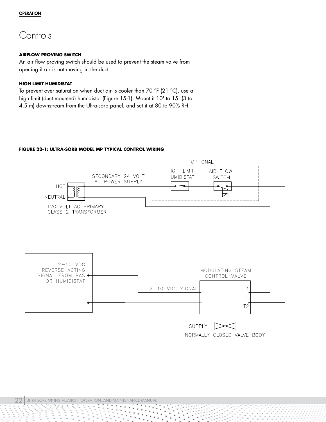## <span id="page-23-0"></span>**Controls**

## **AIRFLOW PROVING SWITCH**

An air flow proving switch should be used to prevent the steam valve from opening if air is not moving in the duct.

## **HIGH LIMIT HUMIDISTAT**

To prevent over saturation when duct air is cooler than 70 °F (21 °C), use a high limit (duct mounted) humidistat (Figure [15-](#page-16-1)1). Mount it 10' to 15' (3 to 4.5 m) downstream from the Ultra-sorb panel, and set it at 80 to 90% RH.

## **FIGURE 22-1: ULTRA-SORB MODEL MP TYPICAL CONTROL WIRING**

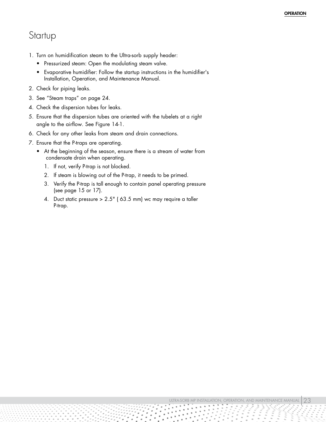## <span id="page-24-0"></span>Startup

- 1. Turn on humidification steam to the Ultra-sorb supply header:
	- Pressurized steam: Open the modulating steam valve.
	- Evaporative humidifier: Follow the startup instructions in the humidifier's Installation, Operation, and Maintenance Manual.
- 2. Check for piping leaks.
- 3. See "Steam traps" on page [24](#page-25-1).
- 4. Check the dispersion tubes for leaks.
- 5. Ensure that the dispersion tubes are oriented with the tubelets at a right angle to the airflow. See Figure [14](#page-15-0)-1.
- 6. Check for any other leaks from steam and drain connections.
- 7. Ensure that the P-traps are operating.
	- At the beginning of the season, ensure there is a stream of water from condensate drain when operating.
		- 1. If not, verify P-trap is not blocked.
		- 2. If steam is blowing out of the P-trap, it needs to be primed.
		- 3. Verify the P-trap is tall enough to contain panel operating pressure (see page [15](#page-16-1) or [17](#page-18-1)).
		- 4. Duct static pressure > 2.5" ( 63.5 mm) wc may require a taller P-trap.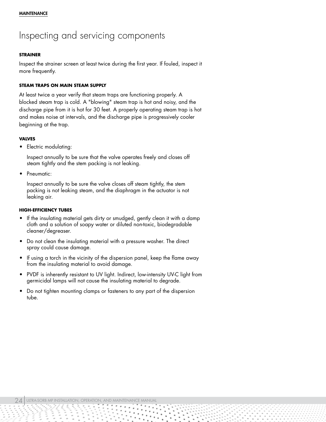## <span id="page-25-0"></span>Inspecting and servicing components

### **STRAINER**

Inspect the strainer screen at least twice during the first year. If fouled, inspect it more frequently.

## <span id="page-25-1"></span>**STEAM TRAPS ON MAIN STEAM SUPPLY**

At least twice a year verify that steam traps are functioning properly. A blocked steam trap is cold. A "blowing" steam trap is hot and noisy, and the discharge pipe from it is hot for 30 feet. A properly operating steam trap is hot and makes noise at intervals, and the discharge pipe is progressively cooler beginning at the trap.

### **VALVES**

• Electric modulating:

Inspect annually to be sure that the valve operates freely and closes off steam tightly and the stem packing is not leaking.

Pneumatic:

Inspect annually to be sure the valve closes off steam tightly, the stem packing is not leaking steam, and the diaphragm in the actuator is not leaking air.

### **HIGH-EFFICIENCY TUBES**

- If the insulating material gets dirty or smudged, gently clean it with a damp cloth and a solution of soapy water or diluted non-toxic, biodegradable cleaner/degreaser.
- Do not clean the insulating material with a pressure washer. The direct spray could cause damage.
- If using a torch in the vicinity of the dispersion panel, keep the flame away from the insulating material to avoid damage.
- PVDF is inherently resistant to UV light. Indirect, low-intensity UV-C light from germicidal lamps will not cause the insulating material to degrade.
- Do not tighten mounting clamps or fasteners to any part of the dispersion tube.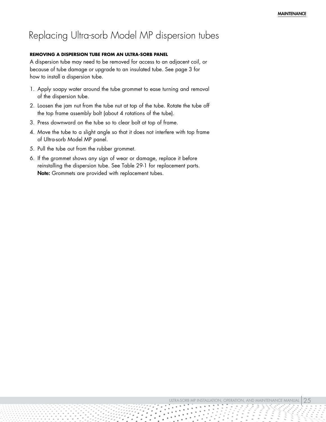## <span id="page-26-0"></span>Replacing Ultra-sorb Model MP dispersion tubes

## **REMOVING A DISPERSION TUBE FROM AN ULTRA-SORB PANEL**

A dispersion tube may need to be removed for access to an adjacent coil, or because of tube damage or upgrade to an insulated tube. See page [3](#page-4-0) for how to install a dispersion tube.

- 1. Apply soapy water around the tube grommet to ease turning and removal of the dispersion tube.
- 2. Loosen the jam nut from the tube nut at top of the tube. Rotate the tube off the top frame assembly bolt (about 4 rotations of the tube).
- 3. Press downward on the tube so to clear bolt at top of frame.
- 4. Move the tube to a slight angle so that it does not interfere with top frame of Ultra-sorb Model MP panel.
- 5. Pull the tube out from the rubber grommet.
- 6. If the grommet shows any sign of wear or damage, replace it before reinstalling the dispersion tube. See Table [29](#page-30-0)-1 for replacement parts. Note: Grommets are provided with replacement tubes.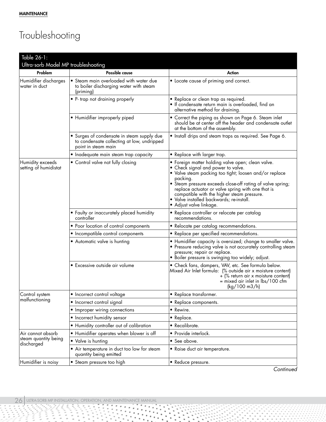# <span id="page-27-0"></span>Troubleshooting

| Table 26-1:                               |                                                                                                                 |                                                                                                                                                                                                                                                                                                                                                                                                       |
|-------------------------------------------|-----------------------------------------------------------------------------------------------------------------|-------------------------------------------------------------------------------------------------------------------------------------------------------------------------------------------------------------------------------------------------------------------------------------------------------------------------------------------------------------------------------------------------------|
| Ultra-sorb Model MP troubleshooting       |                                                                                                                 |                                                                                                                                                                                                                                                                                                                                                                                                       |
| Problem                                   | <b>Possible cause</b>                                                                                           | Action                                                                                                                                                                                                                                                                                                                                                                                                |
| Humidifier discharges<br>water in duct    | • Steam main overloaded with water due<br>to boiler discharging water with steam<br>(priming)                   | • Locate cause of priming and correct.                                                                                                                                                                                                                                                                                                                                                                |
|                                           | • P- trap not draining properly                                                                                 | • Replace or clean trap as required.<br>· If condensate return main is overloaded, find an<br>alternative method for draining.                                                                                                                                                                                                                                                                        |
|                                           | • Humidifier improperly piped                                                                                   | • Correct the piping as shown on Page 6. Steam inlet<br>should be at center off the header and condensate outlet<br>at the bottom of the assembly.                                                                                                                                                                                                                                                    |
|                                           | • Surges of condensate in steam supply due<br>to condensate collecting at low, undripped<br>point in steam main | · Install drips and steam traps as required. See Page 6.                                                                                                                                                                                                                                                                                                                                              |
|                                           | • Inadequate main steam trap capacity                                                                           | • Replace with larger trap.                                                                                                                                                                                                                                                                                                                                                                           |
| Humidity exceeds<br>setting of humidistat | • Control valve not fully closing                                                                               | • Foreign matter holding valve open; clean valve.<br>• Check signal and power to valve.<br>• Valve steam packing too tight; loosen and/or replace<br>packing.<br>• Steam pressure exceeds close-off rating of valve spring;<br>replace actuator or valve spring with one that is<br>compatible with the higher steam pressure.<br>· Valve installed backwards; re-install.<br>• Adjust valve linkage. |
|                                           | • Faulty or inaccurately placed humidity<br>controller                                                          | • Replace controller or relocate per catalog<br>recommendations.                                                                                                                                                                                                                                                                                                                                      |
|                                           | • Poor location of control components                                                                           | • Relocate per catalog recommendations.                                                                                                                                                                                                                                                                                                                                                               |
|                                           | • Incompatible control components                                                                               | • Replace per specified recommendations.                                                                                                                                                                                                                                                                                                                                                              |
|                                           | • Automatic valve is hunting                                                                                    | • Humidifier capacity is oversized; change to smaller valve.<br>• Pressure reducing valve is not accurately controlling steam<br>pressure; repair or replace.<br>• Boiler pressure is swinging too widely; adjust.                                                                                                                                                                                    |
|                                           | · Excessive outside air volume                                                                                  | • Check fans, dampers, VAV, etc. See formula below.<br>Mixed Air Inlet formula: (% outside air x moisture content)<br>+ (% return air x moisture content)<br>= mixed air inlet in lbs/100 cfm<br>(kg/100 m3/h)                                                                                                                                                                                        |
| Control system                            | • Incorrect control voltage                                                                                     | • Replace transformer.                                                                                                                                                                                                                                                                                                                                                                                |
| malfunctioning                            | • Incorrect control signal                                                                                      | • Replace components.                                                                                                                                                                                                                                                                                                                                                                                 |
|                                           | • Improper wiring connections                                                                                   | • Rewire.                                                                                                                                                                                                                                                                                                                                                                                             |
|                                           | • Incorrect humidity sensor                                                                                     | • Replace.                                                                                                                                                                                                                                                                                                                                                                                            |
|                                           | • Humidity controller out of calibration                                                                        | • Recalibrate.                                                                                                                                                                                                                                                                                                                                                                                        |
| Air cannot absorb                         | • Humidifier operates when blower is off                                                                        | • Provide interlock.                                                                                                                                                                                                                                                                                                                                                                                  |
| steam quantity being<br>discharged        | • Valve is hunting                                                                                              | • See above.                                                                                                                                                                                                                                                                                                                                                                                          |
|                                           | • Air temperature in duct too low for steam<br>quantity being emitted                                           | • Raise duct air temperature.                                                                                                                                                                                                                                                                                                                                                                         |
| Humidifier is noisy                       | • Steam pressure too high                                                                                       | • Reduce pressure.                                                                                                                                                                                                                                                                                                                                                                                    |

٠ ٠

 $\bullet$  $\ddot{\phantom{1}}$  ٠

*Continued*

Ì È, i,

 $\sim$ 

Î,

 $\;$ 

 $\alpha$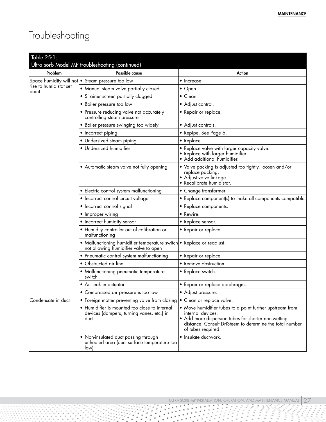# Troubleshooting

| Table $25 - 1$ :                |                                                                                                                |                                                                                                                                                                                                                        |  |
|---------------------------------|----------------------------------------------------------------------------------------------------------------|------------------------------------------------------------------------------------------------------------------------------------------------------------------------------------------------------------------------|--|
|                                 | Ultra-sorb Model MP troubleshooting (continued)                                                                |                                                                                                                                                                                                                        |  |
| Problem                         | Possible cause                                                                                                 | Action                                                                                                                                                                                                                 |  |
|                                 | Space humidity will not • Steam pressure too low                                                               | • Increase.                                                                                                                                                                                                            |  |
| rise to humidistat set<br>point | • Manual steam valve partially closed                                                                          | $\bullet$ Open.                                                                                                                                                                                                        |  |
|                                 | • Strainer screen partially clogged                                                                            | $\bullet$ Clean.                                                                                                                                                                                                       |  |
|                                 | · Boiler pressure too low                                                                                      | • Adjust control.                                                                                                                                                                                                      |  |
|                                 | • Pressure reducing valve not accurately<br>controlling steam pressure                                         | • Repair or replace.                                                                                                                                                                                                   |  |
|                                 | • Boiler pressure swinging too widely                                                                          | • Adjust controls.                                                                                                                                                                                                     |  |
|                                 | • Incorrect piping                                                                                             | • Repipe. See Page 6.                                                                                                                                                                                                  |  |
|                                 | · Undersized steam piping                                                                                      | • Replace.                                                                                                                                                                                                             |  |
|                                 | · Undersized humidifier                                                                                        | • Replace valve with larger capacity valve.<br>• Replace with larger humidifier.<br>• Add additional humidifier.                                                                                                       |  |
|                                 | • Automatic steam valve not fully opening                                                                      | • Valve packing is adjusted too tightly, loosen and/or<br>replace packing.<br>• Adjust valve linkage.<br>· Recalibrate humidistat.                                                                                     |  |
|                                 | • Electric control system malfunctioning                                                                       | • Change transformer.                                                                                                                                                                                                  |  |
|                                 | • Incorrect control circuit voltage                                                                            | • Replace component(s) to make all components compatible.                                                                                                                                                              |  |
|                                 | • Incorrect control signal                                                                                     | • Replace components.                                                                                                                                                                                                  |  |
|                                 | • Improper wiring                                                                                              | • Rewire.                                                                                                                                                                                                              |  |
|                                 | • Incorrect humidity sensor                                                                                    | • Replace sensor.                                                                                                                                                                                                      |  |
|                                 | • Humidity controller out of calibration or<br>malfunctioning                                                  | • Repair or replace.                                                                                                                                                                                                   |  |
|                                 | • Malfunctioning humidifier temperature switch • Replace or readjust.<br>not allowing humidifier valve to open |                                                                                                                                                                                                                        |  |
|                                 | • Pneumatic control system malfunctioning                                                                      | • Repair or replace.                                                                                                                                                                                                   |  |
|                                 | • Obstructed air line                                                                                          | • Remove obstruction.                                                                                                                                                                                                  |  |
|                                 | • Malfunctioning pneumatic temperature<br>switch                                                               | • Replace switch.                                                                                                                                                                                                      |  |
|                                 | • Air leak in actuator                                                                                         | • Repair or replace diaphragm.                                                                                                                                                                                         |  |
|                                 | · Compressed air pressure is too low                                                                           | · Adjust pressure.                                                                                                                                                                                                     |  |
| Condensate in duct              | • Foreign matter preventing valve from closing  • Clean or replace valve.                                      |                                                                                                                                                                                                                        |  |
|                                 | • Humidifier is mounted too close to internal<br>devices (dampers, turning vanes, etc.) in<br>duct             | • Move humidifier tubes to a point further upstream from<br>internal devices.<br>• Add more dispersion tubes for shorter non-wetting<br>distance. Consult DriSteem to determine the total number<br>of tubes required. |  |
|                                 | • Non-insulated duct passing through<br>unheated area (duct surface temperature too<br>low)                    | • Insulate ductwork.                                                                                                                                                                                                   |  |

Weblin 1999<br>Participation of the State State State State State State State State State State State State State State State<br>State State State State State State State State State State State State State State State State Sta  $\bullet$ 

 $\bullet$  $\bullet$  $\bullet$  $\bullet$ 

i. Ě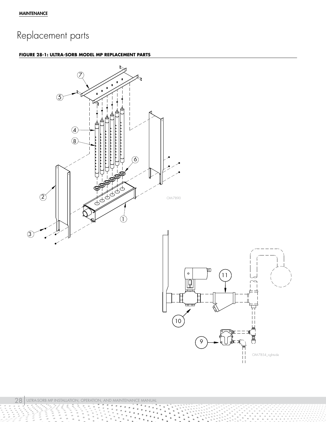# <span id="page-29-0"></span>Replacement parts

## **FIGURE 28-1: ULTRA-SORB MODEL MP REPLACEMENT PARTS**



Î  $\sum_{i=1}^N\frac{1}{i}$ 

ξ

Ì,  $\frac{1}{2}$ 

÷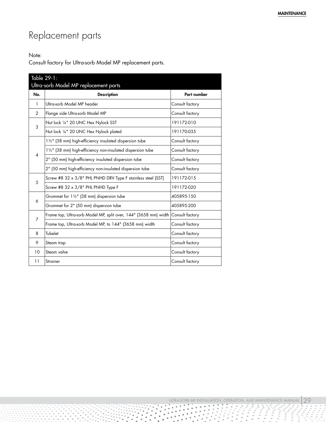# Replacement parts

## Note:

Consult factory for Ultra-sorb Model MP replacement parts.

<span id="page-30-0"></span>

| Table 29-1:<br>Ultra-sorb Model MP replacement parts |                                                                                  |                    |
|------------------------------------------------------|----------------------------------------------------------------------------------|--------------------|
| No.                                                  | <b>Description</b>                                                               | <b>Part number</b> |
| 1                                                    | Ultra-sorb Model MP header                                                       | Consult factory    |
| 2                                                    | Flange side Ultra-sorb Model MP                                                  | Consult factory    |
| 3                                                    | Nut lock 1/4" 20 UNC Hex Nylock SST                                              | 191172-010         |
|                                                      | Nut lock 1/4" 20 UNC Hex Nylock plated                                           | 191170-035         |
| $\overline{\mathcal{A}}$                             | 11/2" (38 mm) high-efficiency insulated dispersion tube                          | Consult factory    |
|                                                      | 11/2" (38 mm) high-efficiency non-insulated dispersion tube                      | Consult factory    |
|                                                      | 2" (50 mm) high-efficiency insulated dispersion tube                             | Consult factory    |
|                                                      | 2" (50 mm) high-efficiency non-insulated dispersion tube                         | Consult factory    |
| 5                                                    | Screw #8 32 x 3/8" PHL PNHD DRV Type F stainless steel (SST)                     | 191172-015         |
|                                                      | Screw #8 32 x 3/8" PHL PNHD Type F                                               | 191172-020         |
| 6                                                    | Grommet for 11/2" (38 mm) dispersion tube                                        | 405895-150         |
|                                                      | Grommet for 2" (50 mm) dispersion tube                                           | 405895-200         |
| 7                                                    | Frame top, Ultra-sorb Model MP, split over, 144" (3658 mm) width Consult factory |                    |
|                                                      | Frame top, Ultra-sorb Model MP, to 144" (3658 mm) width                          | Consult factory    |
| 8                                                    | Tubelet                                                                          | Consult factory    |
| 9                                                    | Steam trap                                                                       | Consult factory    |
| 10                                                   | Steam valve                                                                      | Consult factory    |
| 11                                                   | Strainer                                                                         | Consult factory    |